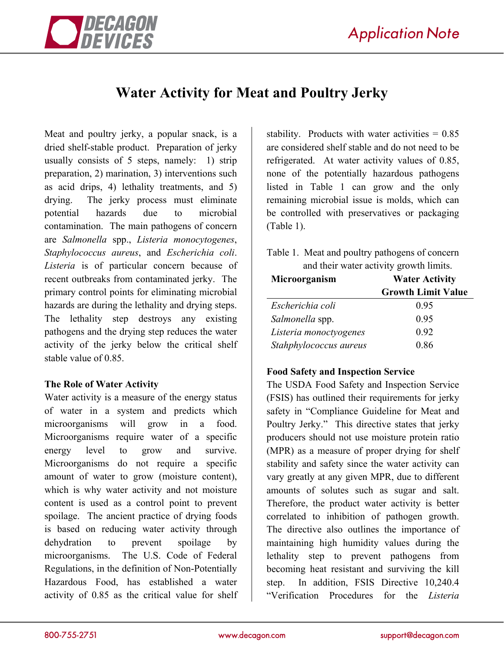

# **Water Activity for Meat and Poultry Jerky**

Meat and poultry jerky, a popular snack, is a dried shelf-stable product. Preparation of jerky usually consists of 5 steps, namely: 1) strip preparation, 2) marination, 3) interventions such as acid drips, 4) lethality treatments, and 5) drying. The jerky process must eliminate potential hazards due to microbial contamination. The main pathogens of concern are *Salmonella* spp., *Listeria monocytogenes*, *Staphylococcus aureus*, and *Escherichia coli*. *Listeria* is of particular concern because of recent outbreaks from contaminated jerky. The primary control points for eliminating microbial hazards are during the lethality and drying steps. The lethality step destroys any existing pathogens and the drying step reduces the water activity of the jerky below the critical shelf stable value of 0.85.

#### **The Role of Water Activity**

Water activity is a measure of the energy status of water in a system and predicts which microorganisms will grow in a food. Microorganisms require water of a specific energy level to grow and survive. Microorganisms do not require a specific amount of water to grow (moisture content), which is why water activity and not moisture content is used as a control point to prevent spoilage. The ancient practice of drying foods is based on reducing water activity through dehydration to prevent spoilage by microorganisms. The U.S. Code of Federal Regulations, in the definition of Non-Potentially Hazardous Food, has established a water activity of 0.85 as the critical value for shelf stability. Products with water activities  $= 0.85$ are considered shelf stable and do not need to be refrigerated. At water activity values of 0.85, none of the potentially hazardous pathogens listed in Table 1 can grow and the only remaining microbial issue is molds, which can be controlled with preservatives or packaging (Table 1).

Table 1. Meat and poultry pathogens of concern and their water activity growth limits.

| Microorganism          | <b>Water Activity</b>     |
|------------------------|---------------------------|
|                        | <b>Growth Limit Value</b> |
| Escherichia coli       | 0.95                      |
| Salmonella spp.        | 0.95                      |
| Listeria monoctyogenes | 0.92                      |
| Stahphylococcus aureus | 0.86                      |

## **Food Safety and Inspection Service**

The USDA Food Safety and Inspection Service (FSIS) has outlined their requirements for jerky safety in "Compliance Guideline for Meat and Poultry Jerky." This directive states that jerky producers should not use moisture protein ratio (MPR) as a measure of proper drying for shelf stability and safety since the water activity can vary greatly at any given MPR, due to different amounts of solutes such as sugar and salt. Therefore, the product water activity is better correlated to inhibition of pathogen growth. The directive also outlines the importance of maintaining high humidity values during the lethality step to prevent pathogens from becoming heat resistant and surviving the kill step. In addition, FSIS Directive 10,240.4 "Verification Procedures for the *Listeria*